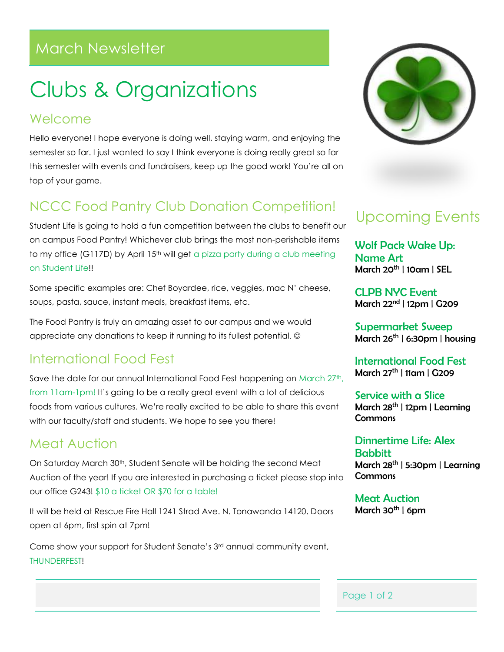## March Newsletter

# Clubs & Organizations

#### Welcome

Hello everyone! I hope everyone is doing well, staying warm, and enjoying the semester so far. I just wanted to say I think everyone is doing really great so far this semester with events and fundraisers, keep up the good work! You're all on top of your game.

### NCCC Food Pantry Club Donation Competition!

Student Life is going to hold a fun competition between the clubs to benefit our on campus Food Pantry! Whichever club brings the most non-perishable items to my office (G117D) by April 15<sup>th</sup> will get a pizza party during a club meeting on Student Life!!

Some specific examples are: Chef Boyardee, rice, veggies, mac N' cheese, soups, pasta, sauce, instant meals, breakfast items, etc.

The Food Pantry is truly an amazing asset to our campus and we would appreciate any donations to keep it running to its fullest potential.

#### International Food Fest

Save the date for our annual International Food Fest happening on March 27<sup>th</sup>, from 11am-1pm! It's going to be a really great event with a lot of delicious foods from various cultures. We're really excited to be able to share this event with our faculty/staff and students. We hope to see you there!

#### Meat Auction

On Saturday March 30th, Student Senate will be holding the second Meat Auction of the year! If you are interested in purchasing a ticket please stop into our office G243! \$10 a ticket OR \$70 for a table!

It will be held at Rescue Fire Hall 1241 Strad Ave. N. Tonawanda 14120. Doors open at 6pm, first spin at 7pm!

Come show your support for Student Senate's 3rd annual community event, THUNDERFEST!



# Upcoming Events

Wolf Pack Wake Up: Name Art March  $20<sup>th</sup>$  | 10am | SEL

CLPB NYC Event March 22nd | 12pm | G209

Supermarket Sweep March  $26^{th}$  | 6:30pm | housing

International Food Fest March 27th | 11am | G209

Service with a Slice March 28<sup>th</sup> | 12pm | Learnina **Commons** 

Dinnertime Life: Alex **Babbitt** March 28th | 5:30pm | Learning **Commons** 

Meat Auction March  $30^{th}$  | 6pm

Page 1 of 2